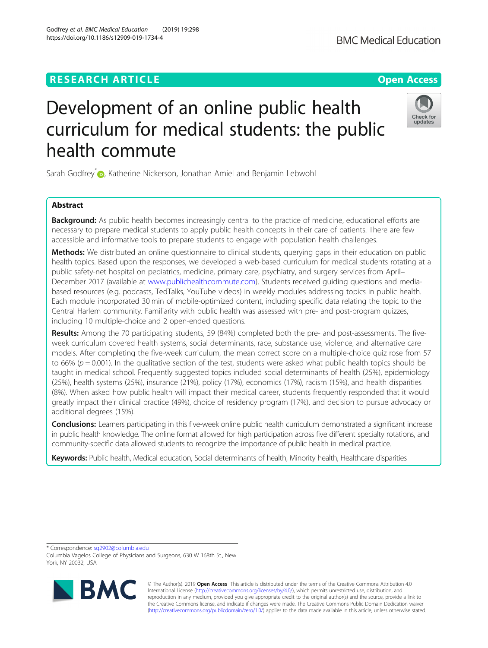# **RESEARCH ARTICLE Example 2018 12:30 THE Open Access**

# Development of an online public health curriculum for medical students: the public health commute

Sarah Godfrey<sup>\*</sup> , Katherine Nickerson, Jonathan Amiel and Benjamin Lebwohl

# Abstract

**Background:** As public health becomes increasingly central to the practice of medicine, educational efforts are necessary to prepare medical students to apply public health concepts in their care of patients. There are few accessible and informative tools to prepare students to engage with population health challenges.

Methods: We distributed an online questionnaire to clinical students, querying gaps in their education on public health topics. Based upon the responses, we developed a web-based curriculum for medical students rotating at a public safety-net hospital on pediatrics, medicine, primary care, psychiatry, and surgery services from April– December 2017 (available at [www.publichealthcommute.com\)](http://www.publichealthcommute.com). Students received guiding questions and mediabased resources (e.g. podcasts, TedTalks, YouTube videos) in weekly modules addressing topics in public health. Each module incorporated 30 min of mobile-optimized content, including specific data relating the topic to the Central Harlem community. Familiarity with public health was assessed with pre- and post-program quizzes, including 10 multiple-choice and 2 open-ended questions.

Results: Among the 70 participating students, 59 (84%) completed both the pre- and post-assessments. The fiveweek curriculum covered health systems, social determinants, race, substance use, violence, and alternative care models. After completing the five-week curriculum, the mean correct score on a multiple-choice quiz rose from 57 to 66% ( $p = 0.001$ ). In the qualitative section of the test, students were asked what public health topics should be taught in medical school. Frequently suggested topics included social determinants of health (25%), epidemiology (25%), health systems (25%), insurance (21%), policy (17%), economics (17%), racism (15%), and health disparities (8%). When asked how public health will impact their medical career, students frequently responded that it would greatly impact their clinical practice (49%), choice of residency program (17%), and decision to pursue advocacy or additional degrees (15%).

Conclusions: Learners participating in this five-week online public health curriculum demonstrated a significant increase in public health knowledge. The online format allowed for high participation across five different specialty rotations, and community-specific data allowed students to recognize the importance of public health in medical practice.

Keywords: Public health, Medical education, Social determinants of health, Minority health, Healthcare disparities

\* Correspondence: [sg2902@columbia.edu](mailto:sg2902@columbia.edu)

**BMC** 

Columbia Vagelos College of Physicians and Surgeons, 630 W 168th St., New York, NY 20032, USA







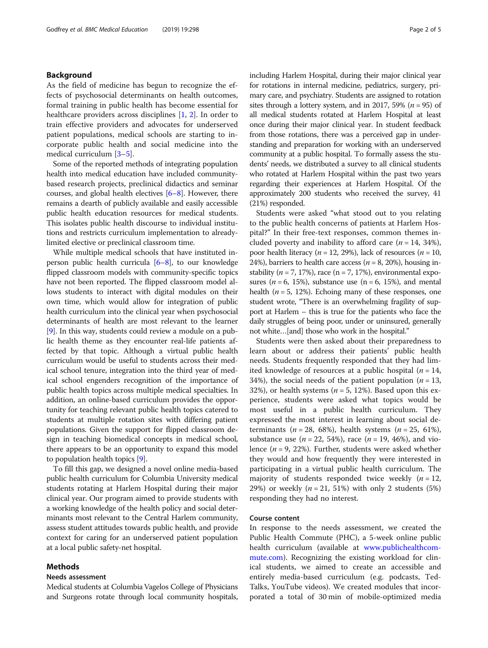# Background

As the field of medicine has begun to recognize the effects of psychosocial determinants on health outcomes, formal training in public health has become essential for healthcare providers across disciplines [[1,](#page-4-0) [2](#page-4-0)]. In order to train effective providers and advocates for underserved patient populations, medical schools are starting to incorporate public health and social medicine into the medical curriculum [[3](#page-4-0)–[5\]](#page-4-0).

Some of the reported methods of integrating population health into medical education have included communitybased research projects, preclinical didactics and seminar courses, and global health electives [\[6](#page-4-0)–[8\]](#page-4-0). However, there remains a dearth of publicly available and easily accessible public health education resources for medical students. This isolates public health discourse to individual institutions and restricts curriculum implementation to alreadylimited elective or preclinical classroom time.

While multiple medical schools that have instituted inperson public health curricula [[6](#page-4-0)–[8](#page-4-0)], to our knowledge flipped classroom models with community-specific topics have not been reported. The flipped classroom model allows students to interact with digital modules on their own time, which would allow for integration of public health curriculum into the clinical year when psychosocial determinants of health are most relevant to the learner [[9\]](#page-4-0). In this way, students could review a module on a public health theme as they encounter real-life patients affected by that topic. Although a virtual public health curriculum would be useful to students across their medical school tenure, integration into the third year of medical school engenders recognition of the importance of public health topics across multiple medical specialties. In addition, an online-based curriculum provides the opportunity for teaching relevant public health topics catered to students at multiple rotation sites with differing patient populations. Given the support for flipped classroom design in teaching biomedical concepts in medical school, there appears to be an opportunity to expand this model to population health topics [\[9\]](#page-4-0).

To fill this gap, we designed a novel online media-based public health curriculum for Columbia University medical students rotating at Harlem Hospital during their major clinical year. Our program aimed to provide students with a working knowledge of the health policy and social determinants most relevant to the Central Harlem community, assess student attitudes towards public health, and provide context for caring for an underserved patient population at a local public safety-net hospital.

## Methods

# Needs assessment

Medical students at Columbia Vagelos College of Physicians and Surgeons rotate through local community hospitals,

including Harlem Hospital, during their major clinical year for rotations in internal medicine, pediatrics, surgery, primary care, and psychiatry. Students are assigned to rotation sites through a lottery system, and in 2017, 59% ( $n = 95$ ) of all medical students rotated at Harlem Hospital at least once during their major clinical year. In student feedback from those rotations, there was a perceived gap in understanding and preparation for working with an underserved community at a public hospital. To formally assess the students' needs, we distributed a survey to all clinical students who rotated at Harlem Hospital within the past two years regarding their experiences at Harlem Hospital. Of the approximately 200 students who received the survey, 41 (21%) responded.

Students were asked "what stood out to you relating to the public health concerns of patients at Harlem Hospital?" In their free-text responses, common themes included poverty and inability to afford care  $(n = 14, 34\%)$ , poor health literacy ( $n = 12, 29\%)$ , lack of resources ( $n = 10$ , 24%), barriers to health care access ( $n = 8$ , 20%), housing instability ( $n = 7$ , 17%), race ( $n = 7$ , 17%), environmental exposures ( $n = 6$ , 15%), substance use ( $n = 6$ , 15%), and mental health ( $n = 5$ , 12%). Echoing many of these responses, one student wrote, "There is an overwhelming fragility of support at Harlem – this is true for the patients who face the daily struggles of being poor, under or uninsured, generally not white…[and] those who work in the hospital."

Students were then asked about their preparedness to learn about or address their patients' public health needs. Students frequently responded that they had limited knowledge of resources at a public hospital ( $n = 14$ , 34%), the social needs of the patient population ( $n = 13$ , 32%), or health systems ( $n = 5$ , 12%). Based upon this experience, students were asked what topics would be most useful in a public health curriculum. They expressed the most interest in learning about social determinants ( $n = 28, 68\%$ ), health systems ( $n = 25, 61\%$ ), substance use ( $n = 22, 54\%$ ), race ( $n = 19, 46\%$ ), and violence ( $n = 9$ , 22%). Further, students were asked whether they would and how frequently they were interested in participating in a virtual public health curriculum. The majority of students responded twice weekly  $(n = 12)$ , 29%) or weekly  $(n = 21, 51%)$  with only 2 students  $(5%)$ responding they had no interest.

#### Course content

In response to the needs assessment, we created the Public Health Commute (PHC), a 5-week online public health curriculum (available at [www.publichealthcom](http://www.publichealthcommute.com)[mute.com\)](http://www.publichealthcommute.com). Recognizing the existing workload for clinical students, we aimed to create an accessible and entirely media-based curriculum (e.g. podcasts, Ted-Talks, YouTube videos). We created modules that incorporated a total of 30 min of mobile-optimized media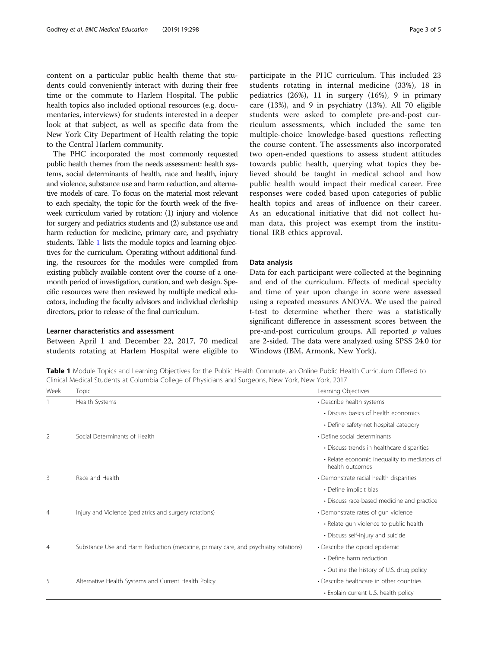content on a particular public health theme that students could conveniently interact with during their free time or the commute to Harlem Hospital. The public health topics also included optional resources (e.g. documentaries, interviews) for students interested in a deeper look at that subject, as well as specific data from the New York City Department of Health relating the topic to the Central Harlem community.

The PHC incorporated the most commonly requested public health themes from the needs assessment: health systems, social determinants of health, race and health, injury and violence, substance use and harm reduction, and alternative models of care. To focus on the material most relevant to each specialty, the topic for the fourth week of the fiveweek curriculum varied by rotation: (1) injury and violence for surgery and pediatrics students and (2) substance use and harm reduction for medicine, primary care, and psychiatry students. Table 1 lists the module topics and learning objectives for the curriculum. Operating without additional funding, the resources for the modules were compiled from existing publicly available content over the course of a onemonth period of investigation, curation, and web design. Specific resources were then reviewed by multiple medical educators, including the faculty advisors and individual clerkship directors, prior to release of the final curriculum.

# Learner characteristics and assessment

Between April 1 and December 22, 2017, 70 medical students rotating at Harlem Hospital were eligible to participate in the PHC curriculum. This included 23 students rotating in internal medicine (33%), 18 in pediatrics (26%), 11 in surgery (16%), 9 in primary care (13%), and 9 in psychiatry (13%). All 70 eligible students were asked to complete pre-and-post curriculum assessments, which included the same ten multiple-choice knowledge-based questions reflecting the course content. The assessments also incorporated two open-ended questions to assess student attitudes towards public health, querying what topics they believed should be taught in medical school and how public health would impact their medical career. Free responses were coded based upon categories of public health topics and areas of influence on their career. As an educational initiative that did not collect human data, this project was exempt from the institutional IRB ethics approval.

#### Data analysis

Data for each participant were collected at the beginning and end of the curriculum. Effects of medical specialty and time of year upon change in score were assessed using a repeated measures ANOVA. We used the paired t-test to determine whether there was a statistically significant difference in assessment scores between the pre-and-post curriculum groups. All reported  $p$  values are 2-sided. The data were analyzed using SPSS 24.0 for Windows (IBM, Armonk, New York).

Table 1 Module Topics and Learning Objectives for the Public Health Commute, an Online Public Health Curriculum Offered to Clinical Medical Students at Columbia College of Physicians and Surgeons, New York, New York, 2017

| Week | Topic                                                                               | Learning Objectives                                             |
|------|-------------------------------------------------------------------------------------|-----------------------------------------------------------------|
|      | Health Systems                                                                      | • Describe health systems                                       |
|      |                                                                                     | • Discuss basics of health economics                            |
|      |                                                                                     | • Define safety-net hospital category                           |
| 2    | Social Determinants of Health                                                       | • Define social determinants                                    |
|      |                                                                                     | • Discuss trends in healthcare disparities                      |
|      |                                                                                     | · Relate economic inequality to mediators of<br>health outcomes |
| 3    | Race and Health                                                                     | • Demonstrate racial health disparities                         |
|      |                                                                                     | • Define implicit bias                                          |
|      |                                                                                     | • Discuss race-based medicine and practice                      |
| 4    | Injury and Violence (pediatrics and surgery rotations)                              | • Demonstrate rates of gun violence                             |
|      |                                                                                     | • Relate gun violence to public health                          |
|      |                                                                                     | • Discuss self-injury and suicide                               |
| 4    | Substance Use and Harm Reduction (medicine, primary care, and psychiatry rotations) | • Describe the opioid epidemic                                  |
|      |                                                                                     | • Define harm reduction                                         |
|      |                                                                                     | • Outline the history of U.S. drug policy                       |
| 5    | Alternative Health Systems and Current Health Policy                                | • Describe healthcare in other countries                        |
|      |                                                                                     | • Explain current U.S. health policy                            |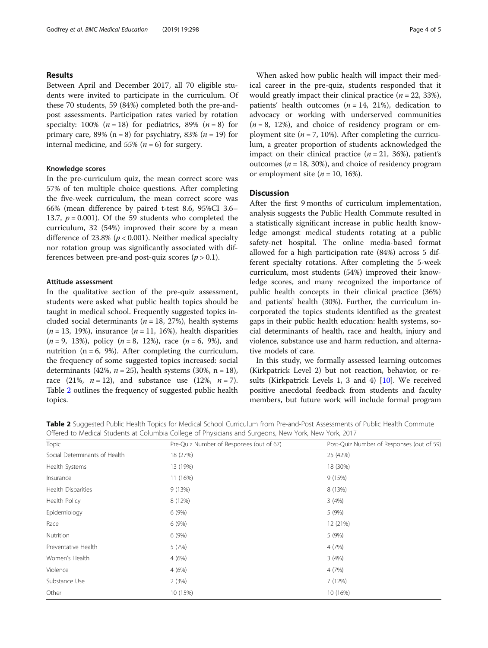# Results

Between April and December 2017, all 70 eligible students were invited to participate in the curriculum. Of these 70 students, 59 (84%) completed both the pre-andpost assessments. Participation rates varied by rotation specialty: 100% ( $n = 18$ ) for pediatrics, 89% ( $n = 8$ ) for primary care, 89% (n = 8) for psychiatry, 83% ( $n = 19$ ) for internal medicine, and 55% ( $n = 6$ ) for surgery.

### Knowledge scores

In the pre-curriculum quiz, the mean correct score was 57% of ten multiple choice questions. After completing the five-week curriculum, the mean correct score was 66% (mean difference by paired t-test 8.6, 95%CI 3.6– 13.7,  $p = 0.001$ ). Of the 59 students who completed the curriculum, 32 (54%) improved their score by a mean difference of 23.8% ( $p < 0.001$ ). Neither medical specialty nor rotation group was significantly associated with differences between pre-and post-quiz scores ( $p > 0.1$ ).

# Attitude assessment

In the qualitative section of the pre-quiz assessment, students were asked what public health topics should be taught in medical school. Frequently suggested topics included social determinants ( $n = 18$ , 27%), health systems  $(n = 13, 19\%)$ , insurance  $(n = 11, 16\%)$ , health disparities  $(n = 9, 13\%)$ , policy  $(n = 8, 12\%)$ , race  $(n = 6, 9\%)$ , and nutrition ( $n = 6$ , 9%). After completing the curriculum, the frequency of some suggested topics increased: social determinants (42%,  $n = 25$ ), health systems (30%, n = 18), race (21%,  $n = 12$ ), and substance use (12%,  $n = 7$ ). Table 2 outlines the frequency of suggested public health topics.

When asked how public health will impact their medical career in the pre-quiz, students responded that it would greatly impact their clinical practice  $(n = 22, 33\%)$ , patients' health outcomes  $(n = 14, 21\%)$ , dedication to advocacy or working with underserved communities  $(n = 8, 12\%)$ , and choice of residency program or employment site ( $n = 7$ , 10%). After completing the curriculum, a greater proportion of students acknowledged the impact on their clinical practice  $(n = 21, 36\%)$ , patient's outcomes ( $n = 18$ , 30%), and choice of residency program or employment site ( $n = 10, 16\%$ ).

# **Discussion**

After the first 9 months of curriculum implementation, analysis suggests the Public Health Commute resulted in a statistically significant increase in public health knowledge amongst medical students rotating at a public safety-net hospital. The online media-based format allowed for a high participation rate (84%) across 5 different specialty rotations. After completing the 5-week curriculum, most students (54%) improved their knowledge scores, and many recognized the importance of public health concepts in their clinical practice (36%) and patients' health (30%). Further, the curriculum incorporated the topics students identified as the greatest gaps in their public health education: health systems, social determinants of health, race and health, injury and violence, substance use and harm reduction, and alternative models of care.

In this study, we formally assessed learning outcomes (Kirkpatrick Level 2) but not reaction, behavior, or results (Kirkpatrick Levels 1, 3 and 4) [[10\]](#page-4-0). We received positive anecdotal feedback from students and faculty members, but future work will include formal program

Table 2 Suggested Public Health Topics for Medical School Curriculum from Pre-and-Post Assessments of Public Health Commute Offered to Medical Students at Columbia College of Physicians and Surgeons, New York, New York, 2017

| Topic                         | Pre-Quiz Number of Responses (out of 67)<br>18 (27%) | Post-Quiz Number of Responses (out of 59)<br>25 (42%) |
|-------------------------------|------------------------------------------------------|-------------------------------------------------------|
| Social Determinants of Health |                                                      |                                                       |
| Health Systems                | 13 (19%)                                             | 18 (30%)                                              |
| Insurance                     | 11 (16%)                                             | 9 (15%)                                               |
| Health Disparities            | 9(13%)                                               | 8 (13%)                                               |
| Health Policy                 | 8 (12%)                                              | 3(4%)                                                 |
| Epidemiology                  | 6(9%)                                                | 5 (9%)                                                |
| Race                          | 6(9%)                                                | 12 (21%)                                              |
| Nutrition                     | 6 (9%)                                               | 5(9%)                                                 |
| Preventative Health           | 5(7%)                                                | 4 (7%)                                                |
| Women's Health                | 4(6%)                                                | 3(4%)                                                 |
| Violence                      | 4(6%)                                                | 4 (7%)                                                |
| Substance Use                 | 2(3%)                                                | 7(12%)                                                |
| Other                         | 10 (15%)                                             | 10 (16%)                                              |